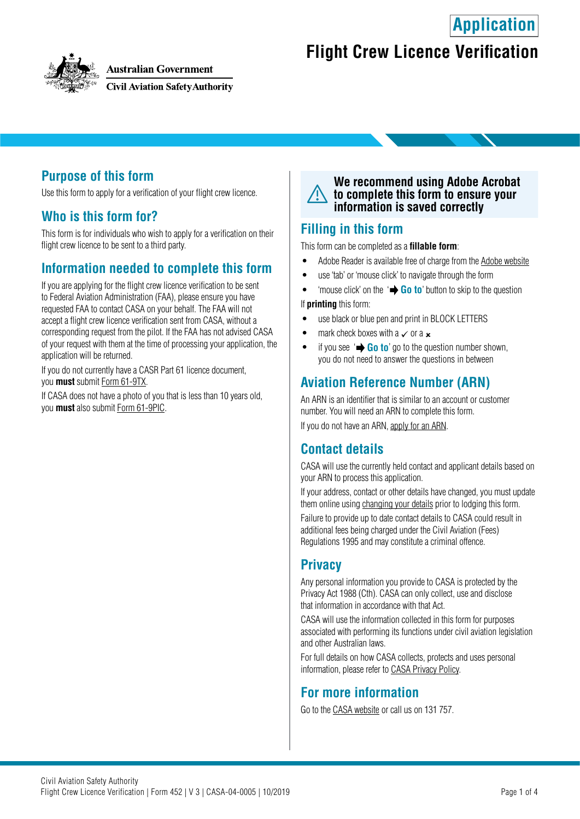**Application**



**Australian Government** 

**Civil Aviation Safety Authority** 

# **Flight Crew Licence Verification**

## **Purpose of this form**

Use this form to apply for a verification of your flight crew licence.

### **Who is this form for?**

This form is for individuals who wish to apply for a verification on their flight crew licence to be sent to a third party.

### **Information needed to complete this form**

If you are applying for the flight crew licence verification to be sent to Federal Aviation Administration (FAA), please ensure you have requested FAA to contact CASA on your behalf. The FAA will not accept a flight crew licence verification sent from CASA, without a corresponding request from the pilot. If the FAA has not advised CASA of your request with them at the time of processing your application, the application will be returned.

If you do not currently have a CASR Part 61 licence document, you **must** submit [Form 61-9TX.](https://www.casa.gov.au/publications-and-resources/forms-and-templates)

If CASA does not have a photo of you that is less than 10 years old, you **must** also submit [Form 61-9PIC](https://www.casa.gov.au/publications-and-resources/forms-and-templates).

#### **We recommend using Adobe Acrobat to complete this form to ensure your information is saved correctly**

#### **Filling in this form**

This form can be completed as a **fillable form**:

- Adobe Reader is available free of charge from the [Adobe website](https://get.adobe.com/reader/)
- use 'tab' or 'mouse click' to navigate through the form
- 'mouse click' on the ' **Go to**' button to skip to the question

If **printing** this form:

- use black or blue pen and print in BLOCK LETTERS
- mark check boxes with a  $\checkmark$  or a  $\checkmark$
- if you see  $\rightarrow$  **Go to**' go to the question number shown, you do not need to answer the questions in between

## **Aviation Reference Number (ARN)**

An ARN is an identifier that is similar to an account or customer number. You will need an ARN to complete this form.

If you do not have an ARN, [apply for an ARN](https://www.casa.gov.au/licences-and-certification/individual-licensing/applying-aviation-reference-number-arn).

### **Contact details**

CASA will use the currently held contact and applicant details based on your ARN to process this application.

If your address, contact or other details have changed, you must update them online using [changing your details](https://www.casa.gov.au/licences-and-certification/individual-licensing/licence-information/changing-your-details) prior to lodging this form.

Failure to provide up to date contact details to CASA could result in additional fees being charged under the Civil Aviation (Fees) Regulations 1995 and may constitute a criminal offence.

## **Privacy**

Any personal information you provide to CASA is protected by the Privacy Act 1988 (Cth). CASA can only collect, use and disclose that information in accordance with that Act.

CASA will use the information collected in this form for purposes associated with performing its functions under civil aviation legislation and other Australian laws.

For full details on how CASA collects, protects and uses personal information, please refer to [CASA Privacy Policy](http://www.casa.gov.au/privacy-policy).

### **For more information**

Go to the [CASA website](http://www.casa.gov.au) or call us on 131 757.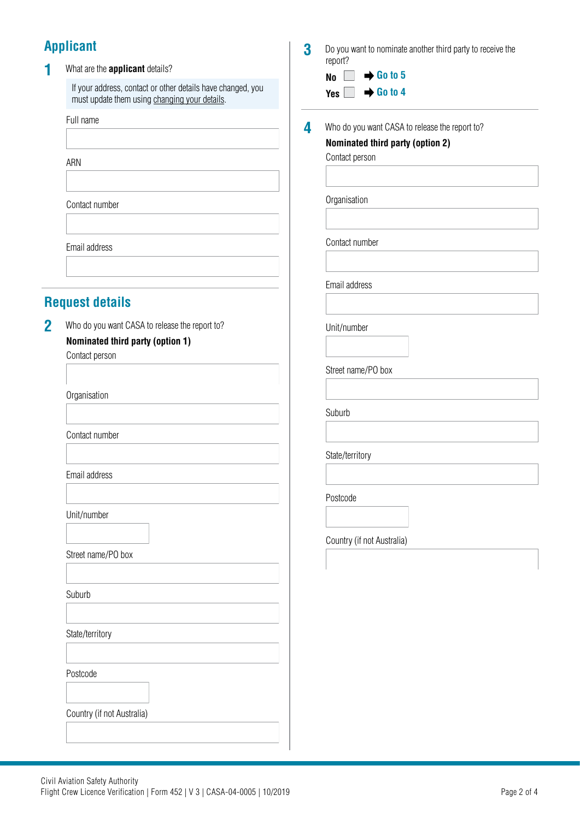# **Applicant**

#### **1** What are the **applicant** details?

If your address, contact or other details have changed, you must update them using [changing your details](https://www.casa.gov.au/licences-and-certification/individual-licensing/licence-information/changing-your-details).

Full name

ARN

Contact number

Email address

## **Request details**

2 Who do you want CASA to release the report to? **Nominated third party (option 1)**

Contact person

**Organisation** 

Contact number

Email address

Unit/number

Street name/PO box

Suburb

State/territory

Postcode

Country (if not Australia)

**3** Do you want to nominate another third party to receive the report?

> **No**  $\rightarrow$  Go to 5 **Go to 4** $\overline{a}$

| 4 | Who do you want CASA to release the report to? |
|---|------------------------------------------------|
|   | Nominated third party (option 2)               |
|   | Contact person                                 |
|   | Organisation                                   |
|   |                                                |
|   | Contact number                                 |
|   | Email address                                  |
|   | Unit/number                                    |
|   | Street name/PO box                             |
|   | Suburb                                         |
|   | State/territory                                |
|   | Postcode                                       |
|   |                                                |
|   | Country (if not Australia)                     |
|   |                                                |
|   |                                                |
|   |                                                |
|   |                                                |
|   |                                                |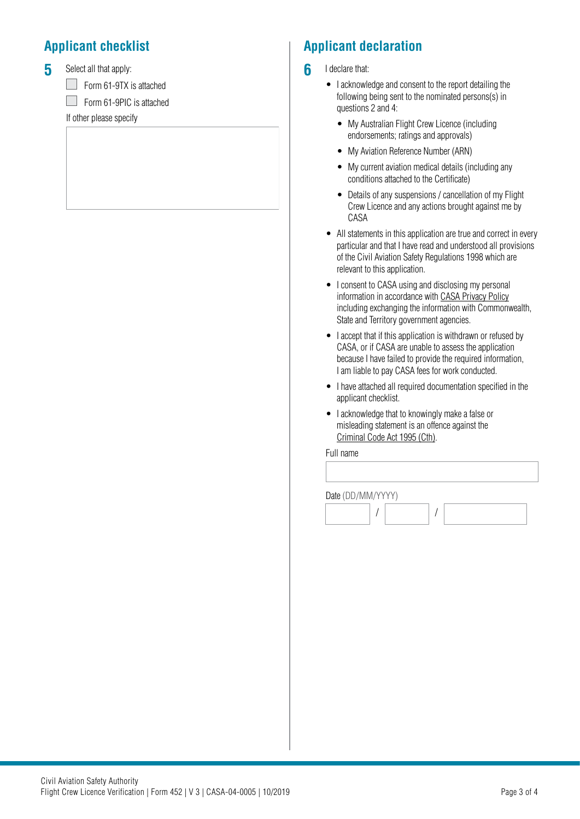# **Applicant checklist**

**5** Select all that apply:

Form 61-9TX is attached

Г  $\Box$  Form 61-9PIC is attached

If other please specify

# **Applicant declaration**

- **6** I declare that:
	- I acknowledge and consent to the report detailing the following being sent to the nominated persons(s) in questions 2 and 4:
		- My Australian Flight Crew Licence (including endorsements; ratings and approvals)
		- My Aviation Reference Number (ARN)
		- My current aviation medical details (including any conditions attached to the Certificate)
		- Details of any suspensions / cancellation of my Flight Crew Licence and any actions brought against me by CASA
	- All statements in this application are true and correct in every particular and that I have read and understood all provisions of the Civil Aviation Safety Regulations 1998 which are relevant to this application.
	- I consent to CASA using and disclosing my personal information in accordance with [CASA Privacy Policy](http://www.casa.gov.au/privacy-policy) including exchanging the information with Commonwealth, State and Territory government agencies.
	- I accept that if this application is withdrawn or refused by CASA, or if CASA are unable to assess the application because I have failed to provide the required information, I am liable to pay CASA fees for work conducted.
	- I have attached all required documentation specified in the applicant checklist.
	- I acknowledge that to knowingly make a false or misleading statement is an offence against the [Criminal Code Act 1995 \(Cth\).](https://www.legislation.gov.au/Details/C2018C00244)

Full name

Date (DD/MM/YYYY)